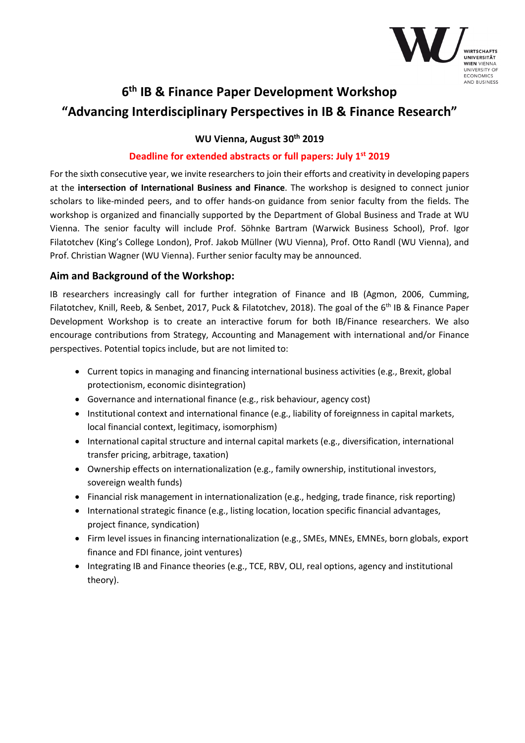

# **6th IB & Finance Paper Development Workshop "Advancing Interdisciplinary Perspectives in IB & Finance Research"**

**WU Vienna, August 30th 2019** 

#### **Deadline for extended abstracts or full papers: July 1st 2019**

For the sixth consecutive year, we invite researchers to join their efforts and creativity in developing papers at the **intersection of International Business and Finance**. The workshop is designed to connect junior scholars to like-minded peers, and to offer hands-on guidance from senior faculty from the fields. The workshop is organized and financially supported by the Department of Global Business and Trade at WU Vienna. The senior faculty will include Prof. Söhnke Bartram (Warwick Business School), Prof. Igor Filatotchev (King's College London), Prof. Jakob Müllner (WU Vienna), Prof. Otto Randl (WU Vienna), and Prof. Christian Wagner (WU Vienna). Further senior faculty may be announced.

#### **Aim and Background of the Workshop:**

IB researchers increasingly call for further integration of Finance and IB (Agmon, 2006, Cumming, Filatotchev, Knill, Reeb, & Senbet, 2017, Puck & Filatotchev, 2018). The goal of the 6<sup>th</sup> IB & Finance Paper Development Workshop is to create an interactive forum for both IB/Finance researchers. We also encourage contributions from Strategy, Accounting and Management with international and/or Finance perspectives. Potential topics include, but are not limited to:

- Current topics in managing and financing international business activities (e.g., Brexit, global protectionism, economic disintegration)
- Governance and international finance (e.g., risk behaviour, agency cost)
- Institutional context and international finance (e.g., liability of foreignness in capital markets, local financial context, legitimacy, isomorphism)
- International capital structure and internal capital markets (e.g., diversification, international transfer pricing, arbitrage, taxation)
- Ownership effects on internationalization (e.g., family ownership, institutional investors, sovereign wealth funds)
- Financial risk management in internationalization (e.g., hedging, trade finance, risk reporting)
- International strategic finance (e.g., listing location, location specific financial advantages, project finance, syndication)
- Firm level issues in financing internationalization (e.g., SMEs, MNEs, EMNEs, born globals, export finance and FDI finance, joint ventures)
- Integrating IB and Finance theories (e.g., TCE, RBV, OLI, real options, agency and institutional theory).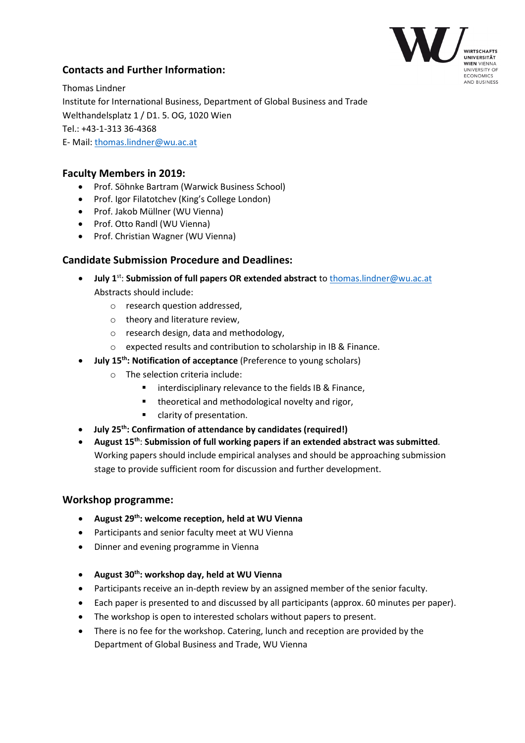

## **Contacts and Further Information:**

Thomas Lindner Institute for International Business, Department of Global Business and Trade Welthandelsplatz 1 / D1. 5. OG, 1020 Wien Tel.: +43-1-313 36-4368 E- Mail: thomas.lindner@wu.ac.at

#### **Faculty Members in 2019:**

- Prof. Söhnke Bartram (Warwick Business School)
- Prof. Igor Filatotchev (King's College London)
- Prof. Jakob Müllner (WU Vienna)
- Prof. Otto Randl (WU Vienna)
- Prof. Christian Wagner (WU Vienna)

### **Candidate Submission Procedure and Deadlines:**

- **July 1**st: **Submission of full papers OR extended abstract** to thomas.lindner@wu.ac.at Abstracts should include:
	- o research question addressed,
	- o theory and literature review,
	- o research design, data and methodology,
	- o expected results and contribution to scholarship in IB & Finance.
- **July 15th: Notification of acceptance** (Preference to young scholars)
	- o The selection criteria include:
		- **EXTERE** interdisciplinary relevance to the fields IB & Finance,
		- **theoretical and methodological novelty and rigor,**
		- **E** clarity of presentation.
- **July 25th: Confirmation of attendance by candidates (required!)**
- **August 15th**: **Submission of full working papers if an extended abstract was submitted**. Working papers should include empirical analyses and should be approaching submission stage to provide sufficient room for discussion and further development.

#### **Workshop programme:**

- **August 29th: welcome reception, held at WU Vienna**
- Participants and senior faculty meet at WU Vienna
- Dinner and evening programme in Vienna
- **August 30th: workshop day, held at WU Vienna**
- Participants receive an in-depth review by an assigned member of the senior faculty.
- Each paper is presented to and discussed by all participants (approx. 60 minutes per paper).
- The workshop is open to interested scholars without papers to present.
- There is no fee for the workshop. Catering, lunch and reception are provided by the Department of Global Business and Trade, WU Vienna